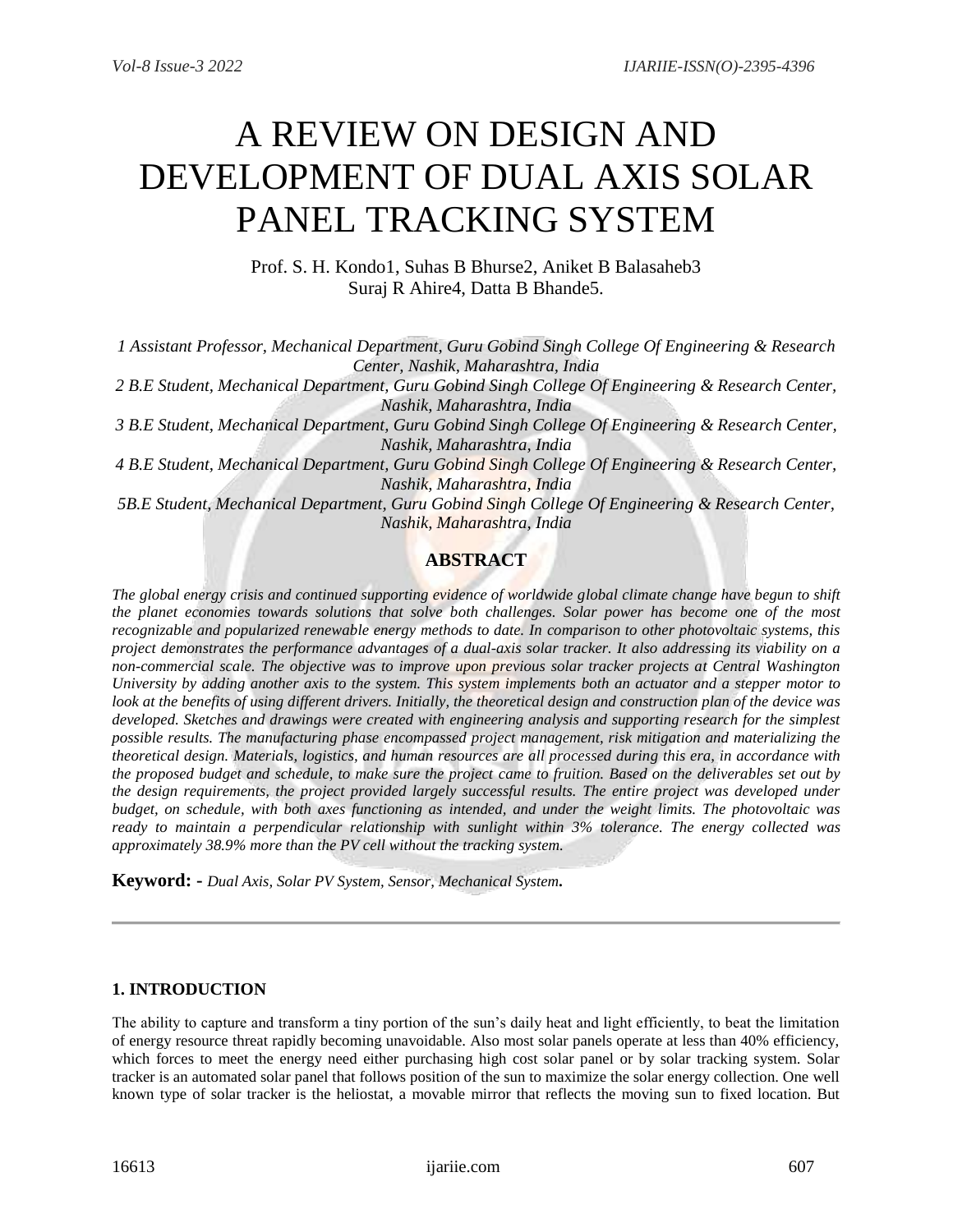# A REVIEW ON DESIGN AND DEVELOPMENT OF DUAL AXIS SOLAR PANEL TRACKING SYSTEM

Prof. S. H. Kondo1, Suhas B Bhurse2, Aniket B Balasaheb3 Suraj R Ahire4, Datta B Bhande5.

*1 Assistant Professor, Mechanical Department, Guru Gobind Singh College Of Engineering & Research Center, Nashik, Maharashtra, India*

*2 B.E Student, Mechanical Department, Guru Gobind Singh College Of Engineering & Research Center, Nashik, Maharashtra, India*

*3 B.E Student, Mechanical Department, Guru Gobind Singh College Of Engineering & Research Center, Nashik, Maharashtra, India*

*4 B.E Student, Mechanical Department, Guru Gobind Singh College Of Engineering & Research Center, Nashik, Maharashtra, India*

*5B.E Student, Mechanical Department, Guru Gobind Singh College Of Engineering & Research Center, Nashik, Maharashtra, India*

# **ABSTRACT**

*The global energy crisis and continued supporting evidence of worldwide global climate change have begun to shift the planet economies towards solutions that solve both challenges. Solar power has become one of the most recognizable and popularized renewable energy methods to date. In comparison to other photovoltaic systems, this project demonstrates the performance advantages of a dual-axis solar tracker. It also addressing its viability on a non-commercial scale. The objective was to improve upon previous solar tracker projects at Central Washington University by adding another axis to the system. This system implements both an actuator and a stepper motor to look at the benefits of using different drivers. Initially, the theoretical design and construction plan of the device was developed. Sketches and drawings were created with engineering analysis and supporting research for the simplest possible results. The manufacturing phase encompassed project management, risk mitigation and materializing the theoretical design. Materials, logistics, and human resources are all processed during this era, in accordance with the proposed budget and schedule, to make sure the project came to fruition. Based on the deliverables set out by the design requirements, the project provided largely successful results. The entire project was developed under budget, on schedule, with both axes functioning as intended, and under the weight limits. The photovoltaic was ready to maintain a perpendicular relationship with sunlight within 3% tolerance. The energy collected was approximately 38.9% more than the PV cell without the tracking system.*

**Keyword: -** *Dual Axis, Solar PV System, Sensor, Mechanical System.*

# **1. INTRODUCTION**

The ability to capture and transform a tiny portion of the sun's daily heat and light efficiently, to beat the limitation of energy resource threat rapidly becoming unavoidable. Also most solar panels operate at less than 40% efficiency, which forces to meet the energy need either purchasing high cost solar panel or by solar tracking system. Solar tracker is an automated solar panel that follows position of the sun to maximize the solar energy collection. One well known type of solar tracker is the heliostat, a movable mirror that reflects the moving sun to fixed location. But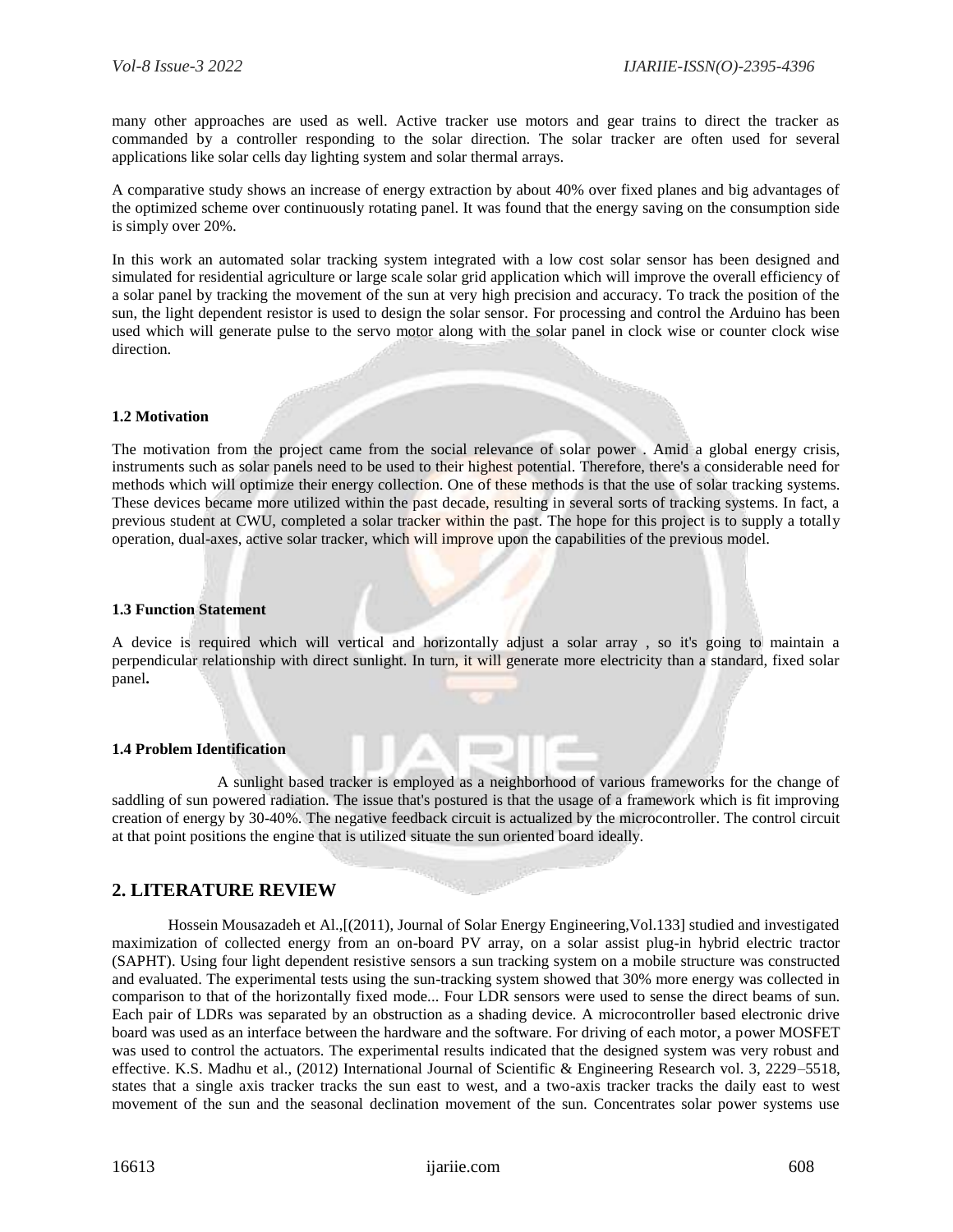many other approaches are used as well. Active tracker use motors and gear trains to direct the tracker as commanded by a controller responding to the solar direction. The solar tracker are often used for several applications like solar cells day lighting system and solar thermal arrays.

A comparative study shows an increase of energy extraction by about 40% over fixed planes and big advantages of the optimized scheme over continuously rotating panel. It was found that the energy saving on the consumption side is simply over 20%.

In this work an automated solar tracking system integrated with a low cost solar sensor has been designed and simulated for residential agriculture or large scale solar grid application which will improve the overall efficiency of a solar panel by tracking the movement of the sun at very high precision and accuracy. To track the position of the sun, the light dependent resistor is used to design the solar sensor. For processing and control the Arduino has been used which will generate pulse to the servo motor along with the solar panel in clock wise or counter clock wise direction.

#### **1.2 Motivation**

The motivation from the project came from the social relevance of solar power . Amid a global energy crisis, instruments such as solar panels need to be used to their highest potential. Therefore, there's a considerable need for methods which will optimize their energy collection. One of these methods is that the use of solar tracking systems. These devices became more utilized within the past decade, resulting in several sorts of tracking systems. In fact, a previous student at CWU, completed a solar tracker within the past. The hope for this project is to supply a totally operation, dual-axes, active solar tracker, which will improve upon the capabilities of the previous model.

#### **1.3 Function Statement**

A device is required which will vertical and horizontally adjust a solar array , so it's going to maintain a perpendicular relationship with direct sunlight. In turn, it will generate more electricity than a standard, fixed solar panel**.**

#### **1.4 Problem Identification**

A sunlight based tracker is employed as a neighborhood of various frameworks for the change of saddling of sun powered radiation. The issue that's postured is that the usage of a framework which is fit improving creation of energy by 30-40%. The negative feedback circuit is actualized by the microcontroller. The control circuit at that point positions the engine that is utilized situate the sun oriented board ideally.

# **2. LITERATURE REVIEW**

Hossein Mousazadeh et Al.,[(2011), Journal of Solar Energy Engineering,Vol.133] studied and investigated maximization of collected energy from an on-board PV array, on a solar assist plug-in hybrid electric tractor (SAPHT). Using four light dependent resistive sensors a sun tracking system on a mobile structure was constructed and evaluated. The experimental tests using the sun-tracking system showed that 30% more energy was collected in comparison to that of the horizontally fixed mode... Four LDR sensors were used to sense the direct beams of sun. Each pair of LDRs was separated by an obstruction as a shading device. A microcontroller based electronic drive board was used as an interface between the hardware and the software. For driving of each motor, a power MOSFET was used to control the actuators. The experimental results indicated that the designed system was very robust and effective. K.S. Madhu et al., (2012) International Journal of Scientific & Engineering Research vol. 3, 2229–5518, states that a single axis tracker tracks the sun east to west, and a two-axis tracker tracks the daily east to west movement of the sun and the seasonal declination movement of the sun. Concentrates solar power systems use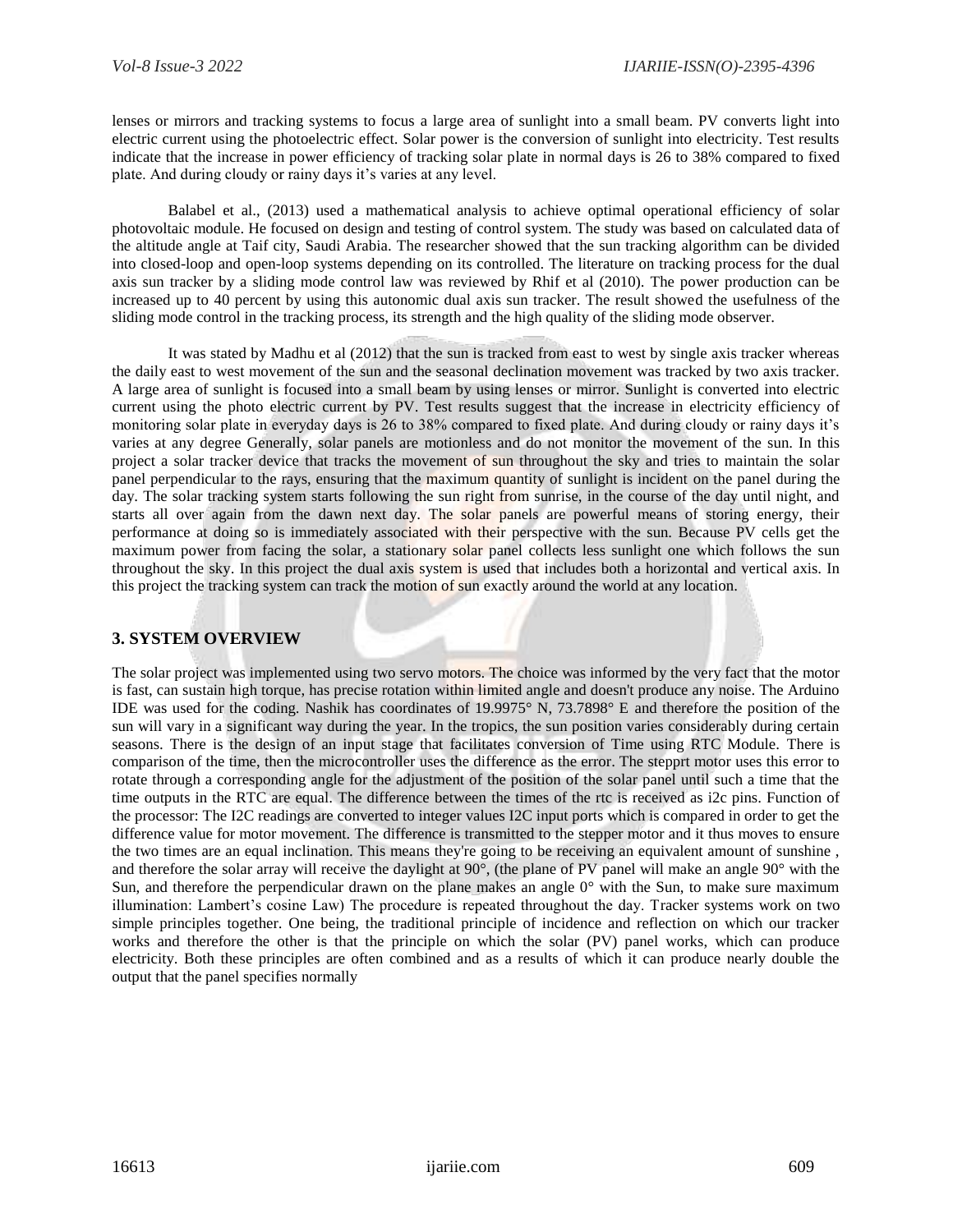lenses or mirrors and tracking systems to focus a large area of sunlight into a small beam. PV converts light into electric current using the photoelectric effect. Solar power is the conversion of sunlight into electricity. Test results indicate that the increase in power efficiency of tracking solar plate in normal days is 26 to 38% compared to fixed plate. And during cloudy or rainy days it's varies at any level.

Balabel et al., (2013) used a mathematical analysis to achieve optimal operational efficiency of solar photovoltaic module. He focused on design and testing of control system. The study was based on calculated data of the altitude angle at Taif city, Saudi Arabia. The researcher showed that the sun tracking algorithm can be divided into closed-loop and open-loop systems depending on its controlled. The literature on tracking process for the dual axis sun tracker by a sliding mode control law was reviewed by Rhif et al (2010). The power production can be increased up to 40 percent by using this autonomic dual axis sun tracker. The result showed the usefulness of the sliding mode control in the tracking process, its strength and the high quality of the sliding mode observer.

It was stated by Madhu et al (2012) that the sun is tracked from east to west by single axis tracker whereas the daily east to west movement of the sun and the seasonal declination movement was tracked by two axis tracker. A large area of sunlight is focused into a small beam by using lenses or mirror. Sunlight is converted into electric current using the photo electric current by PV. Test results suggest that the increase in electricity efficiency of monitoring solar plate in everyday days is 26 to 38% compared to fixed plate. And during cloudy or rainy days it's varies at any degree Generally, solar panels are motionless and do not monitor the movement of the sun. In this project a solar tracker device that tracks the movement of sun throughout the sky and tries to maintain the solar panel perpendicular to the rays, ensuring that the maximum quantity of sunlight is incident on the panel during the day. The solar tracking system starts following the sun right from sunrise, in the course of the day until night, and starts all over again from the dawn next day. The solar panels are powerful means of storing energy, their performance at doing so is immediately associated with their perspective with the sun. Because PV cells get the maximum power from facing the solar, a stationary solar panel collects less sunlight one which follows the sun throughout the sky. In this project the dual axis system is used that includes both a horizontal and vertical axis. In this project the tracking system can track the motion of sun exactly around the world at any location.

# **3. SYSTEM OVERVIEW**

The solar project was implemented using two servo motors. The choice was informed by the very fact that the motor is fast, can sustain high torque, has precise rotation within limited angle and doesn't produce any noise. The Arduino IDE was used for the coding. Nashik has coordinates of 19.9975° N, 73.7898° E and therefore the position of the sun will vary in a significant way during the year. In the tropics, the sun position varies considerably during certain seasons. There is the design of an input stage that facilitates conversion of Time using RTC Module. There is comparison of the time, then the microcontroller uses the difference as the error. The stepprt motor uses this error to rotate through a corresponding angle for the adjustment of the position of the solar panel until such a time that the time outputs in the RTC are equal. The difference between the times of the rtc is received as i2c pins. Function of the processor: The I2C readings are converted to integer values I2C input ports which is compared in order to get the difference value for motor movement. The difference is transmitted to the stepper motor and it thus moves to ensure the two times are an equal inclination. This means they're going to be receiving an equivalent amount of sunshine , and therefore the solar array will receive the daylight at 90°, (the plane of PV panel will make an angle 90° with the Sun, and therefore the perpendicular drawn on the plane makes an angle  $0^{\circ}$  with the Sun, to make sure maximum illumination: Lambert's cosine Law) The procedure is repeated throughout the day. Tracker systems work on two simple principles together. One being, the traditional principle of incidence and reflection on which our tracker works and therefore the other is that the principle on which the solar (PV) panel works, which can produce electricity. Both these principles are often combined and as a results of which it can produce nearly double the output that the panel specifies normally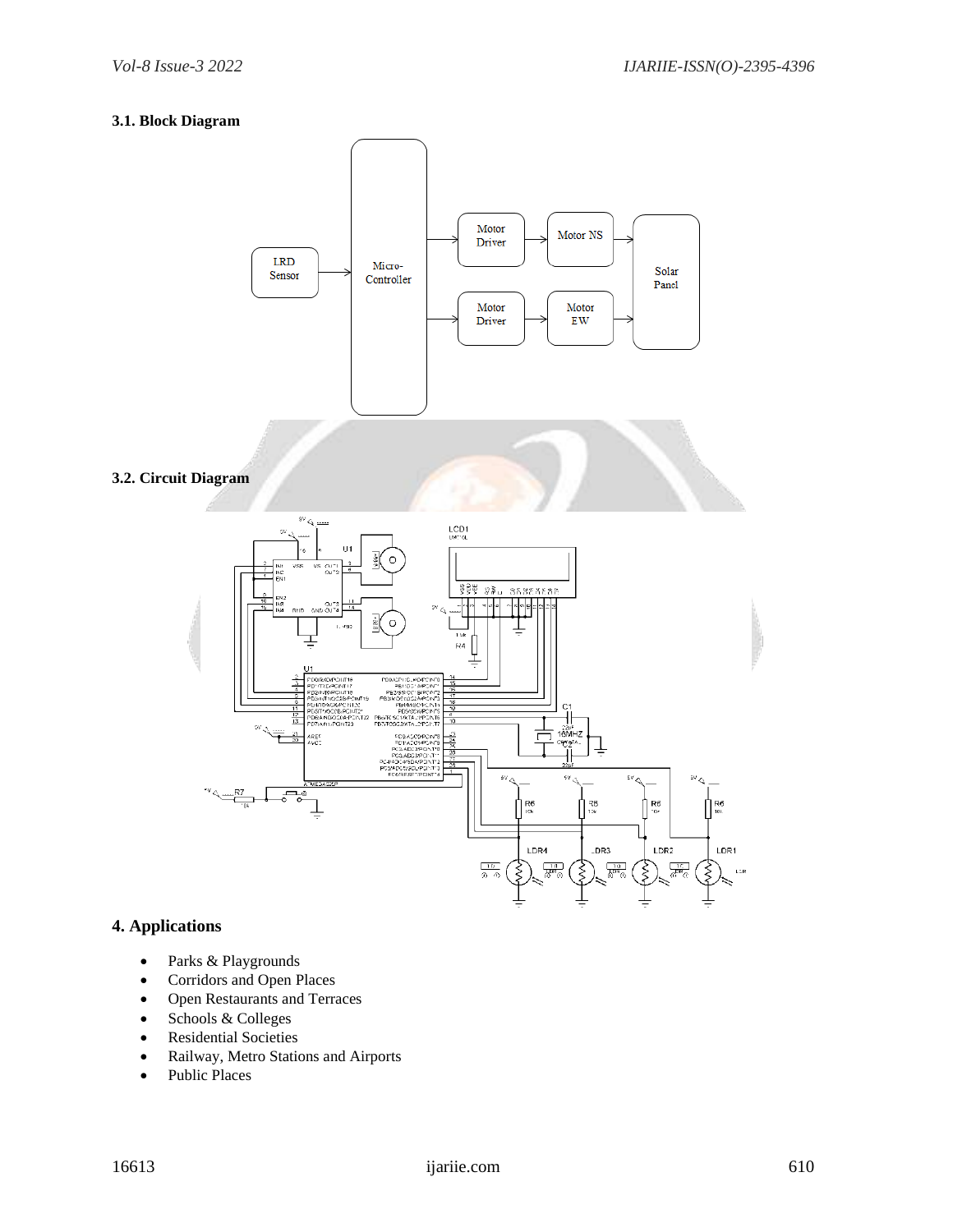## **3.1. Block Diagram**



# **4. Applications**

- Parks & Playgrounds
- Corridors and Open Places
- Open Restaurants and Terraces
- Schools & Colleges
- Residential Societies
- Railway, Metro Stations and Airports
- Public Places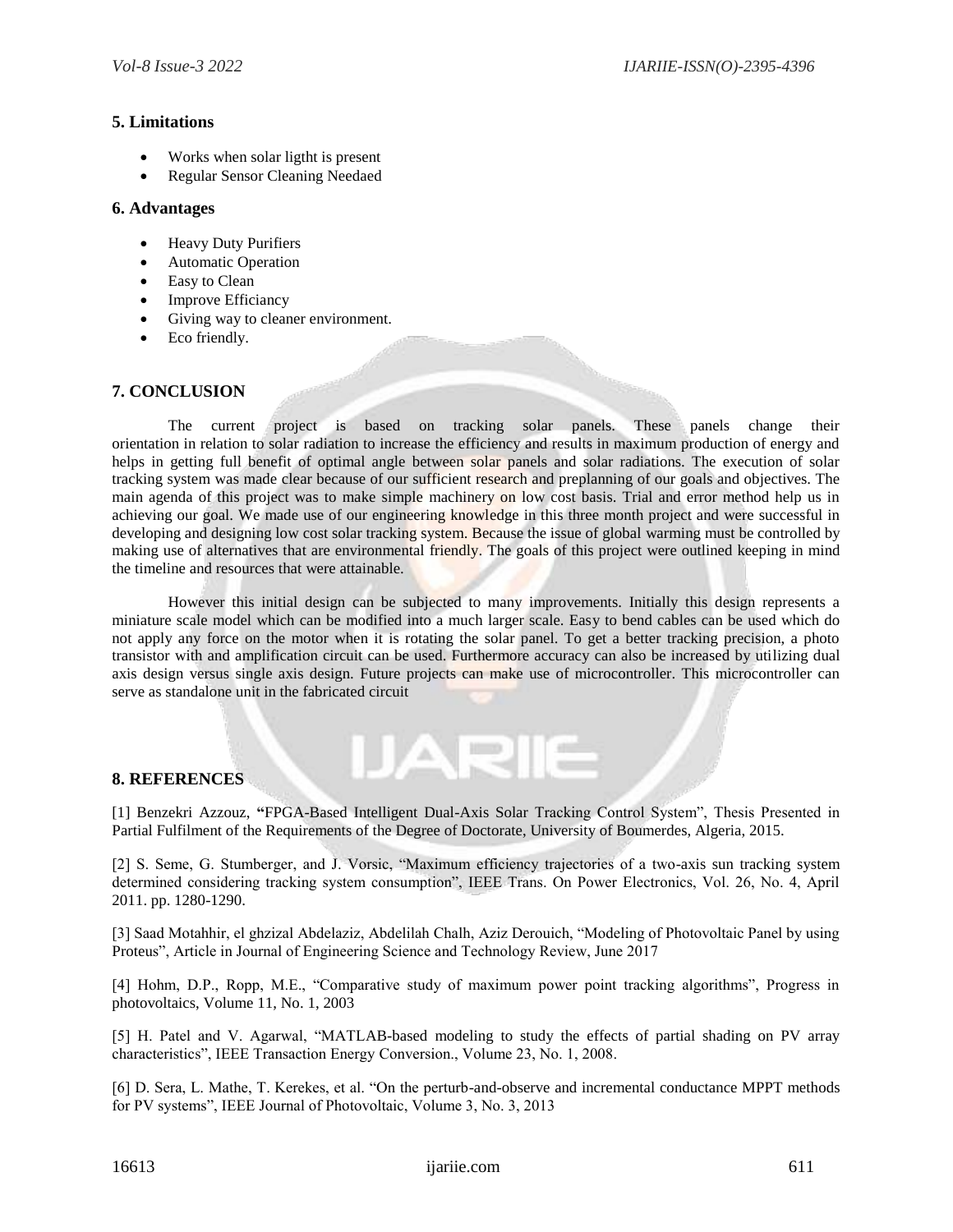## **5. Limitations**

- Works when solar ligtht is present
- Regular Sensor Cleaning Needaed

## **6. Advantages**

- Heavy Duty Purifiers
- Automatic Operation
- Easy to Clean
- Improve Efficiancy
- Giving way to cleaner environment.
- Eco friendly.

# **7. CONCLUSION**

The current project is based on tracking solar panels. These panels change their orientation in relation to solar radiation to increase the efficiency and results in maximum production of energy and helps in getting full benefit of optimal angle between solar panels and solar radiations. The execution of solar tracking system was made clear because of our sufficient research and preplanning of our goals and objectives. The main agenda of this project was to make simple machinery on low cost basis. Trial and error method help us in achieving our goal. We made use of our engineering knowledge in this three month project and were successful in developing and designing low cost solar tracking system. Because the issue of global warming must be controlled by making use of alternatives that are environmental friendly. The goals of this project were outlined keeping in mind the timeline and resources that were attainable.

However this initial design can be subjected to many improvements. Initially this design represents a miniature scale model which can be modified into a much larger scale. Easy to bend cables can be used which do not apply any force on the motor when it is rotating the solar panel. To get a better tracking precision, a photo transistor with and amplification circuit can be used. Furthermore accuracy can also be increased by utilizing dual axis design versus single axis design. Future projects can make use of microcontroller. This microcontroller can serve as standalone unit in the fabricated circuit

# **8. REFERENCES**

[1] Benzekri Azzouz, **"**FPGA-Based Intelligent Dual-Axis Solar Tracking Control System", Thesis Presented in Partial Fulfilment of the Requirements of the Degree of Doctorate, University of Boumerdes, Algeria, 2015.

**IARIE** 

[2] S. Seme, G. Stumberger, and J. Vorsic, "Maximum efficiency trajectories of a two-axis sun tracking system determined considering tracking system consumption", IEEE Trans. On Power Electronics, Vol. 26, No. 4, April 2011. pp. 1280-1290.

[3] Saad Motahhir, el ghzizal Abdelaziz, Abdelilah Chalh, Aziz Derouich, "Modeling of Photovoltaic Panel by using Proteus", Article in Journal of Engineering Science and Technology Review, June 2017

[4] Hohm, D.P., Ropp, M.E., "Comparative study of maximum power point tracking algorithms", Progress in photovoltaics, Volume 11, No. 1, 2003

[5] H. Patel and V. Agarwal, "MATLAB-based modeling to study the effects of partial shading on PV array characteristics", IEEE Transaction Energy Conversion., Volume 23, No. 1, 2008.

[6] D. Sera, L. Mathe, T. Kerekes, et al. "On the perturb-and-observe and incremental conductance MPPT methods for PV systems", IEEE Journal of Photovoltaic, Volume 3, No. 3, 2013